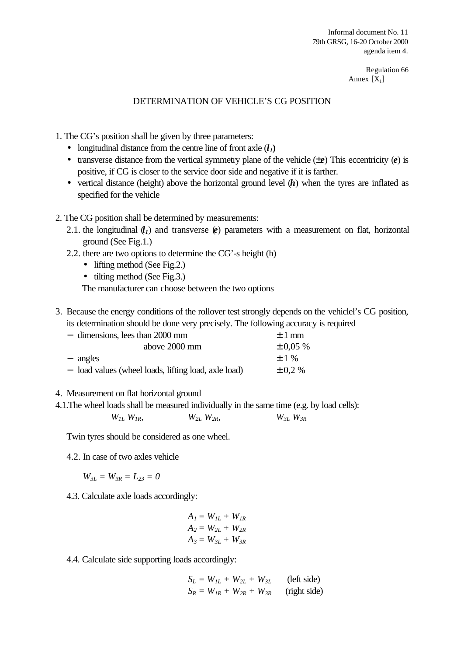Regulation 66 Annex  $[X_1]$ 

## DETERMINATION OF VEHICLE'S CG POSITION

1. The CG's position shall be given by three parameters:

- longitudinal distance from the centre line of front axle  $(l_1)$
- transverse distance from the vertical symmetry plane of the vehicle (±*e*) This eccentricity (*e*) is positive, if CG is closer to the service door side and negative if it is farther.
- vertical distance (height) above the horizontal ground level  $(h)$  when the tyres are inflated as specified for the vehicle
- 2. The CG position shall be determined by measurements:
	- 2.1. the longitudinal  $(l_1)$  and transverse  $(e)$  parameters with a measurement on flat, horizontal ground (See Fig.1.)
	- 2.2. there are two options to determine the CG'-s height (h)
		- lifting method (See Fig.2.)
		- tilting method (See Fig.3.)

The manufacturer can choose between the two options

3. Because the energy conditions of the rollover test strongly depends on the vehiclel's CG position, its determination should be done very precisely. The following accuracy is required

| - dimensions, lees than 2000 mm                      | $+1$ mm       |
|------------------------------------------------------|---------------|
| above 2000 mm                                        | $\pm 0.05 \%$ |
| - angles                                             | $+1\%$        |
| - load values (wheel loads, lifting load, axle load) | $\pm 0.2 \%$  |

- 4. Measurement on flat horizontal ground
- 4.1.The wheel loads shall be measured individually in the same time (e.g. by load cells):

$$
W_{1L} W_{1R}, \t W_{2L} W_{2R}, \t W_{3L} W_{3R}
$$

Twin tyres should be considered as one wheel.

4.2. In case of two axles vehicle

$$
W_{3L} = W_{3R} = L_{23} = 0
$$

4.3. Calculate axle loads accordingly:

$$
A1 = W1L + W1R
$$
  

$$
A2 = W2L + W2R
$$
  

$$
A3 = W3L + W3R
$$

4.4. Calculate side supporting loads accordingly:

$$
S_L = W_{IL} + W_{2L} + W_{3L}
$$
 (left side)  
\n
$$
S_R = W_{IR} + W_{2R} + W_{3R}
$$
 (right side)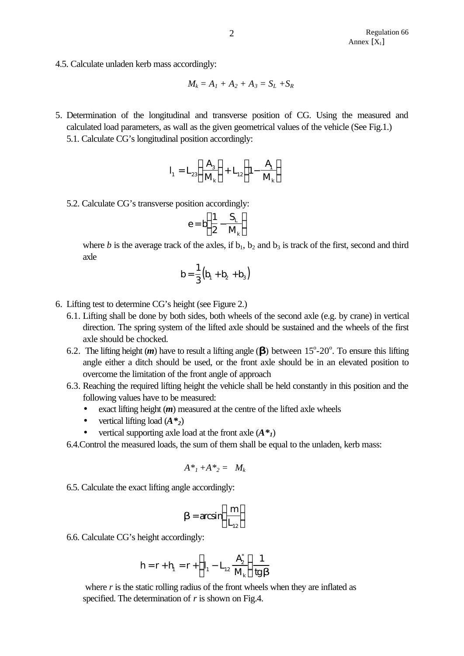4.5. Calculate unladen kerb mass accordingly:

$$
M_k = A_1 + A_2 + A_3 = S_L + S_R
$$

5. Determination of the longitudinal and transverse position of CG. Using the measured and calculated load parameters, as wall as the given geometrical values of the vehicle (See Fig.1.) 5.1. Calculate CG's longitudinal position accordingly:

$$
I_1 = L_{23} \left( \frac{A_3}{M_k} \right) + L_{12} \left( 1 - \frac{A_1}{M_k} \right)
$$

5.2. Calculate CG's transverse position accordingly:

$$
e = b \bigg( \frac{1}{2} - \frac{S_{_L}}{M_{_k}} \bigg)
$$

where *b* is the average track of the axles, if  $b_1$ ,  $b_2$  and  $b_3$  is track of the first, second and third axle

$$
b=\frac{1}{3}\big(b_1+b_2+b_3\big)
$$

- 6. Lifting test to determine CG's height (see Figure 2.)
	- 6.1. Lifting shall be done by both sides, both wheels of the second axle (e.g. by crane) in vertical direction. The spring system of the lifted axle should be sustained and the wheels of the first axle should be chocked.
	- 6.2. The lifting height  $(m)$  have to result a lifting angle  $\left(\blacksquare\right)$  between 15°-20°. To ensure this lifting angle either a ditch should be used, or the front axle should be in an elevated position to overcome the limitation of the front angle of approach
	- 6.3. Reaching the required lifting height the vehicle shall be held constantly in this position and the following values have to be measured:
		- exact lifting height (*m*) measured at the centre of the lifted axle wheels
		- vertical lifting load  $(A^*_{2})$
		- vertical supporting axle load at the front axle  $(A^*_{l})$
	- 6.4.Control the measured loads, the sum of them shall be equal to the unladen, kerb mass:

$$
A^*{}_{\!1}+A^*{}_{\!2} = M_k
$$

6.5. Calculate the exact lifting angle accordingly:

$$
\boldsymbol{b} = \arcsin\left(\frac{m}{L_{12}}\right)
$$

6.6. Calculate CG's height accordingly:

$$
h=r+h_{\scriptscriptstyle 1}=r+\left(l_{\scriptscriptstyle 1}-L_{\scriptscriptstyle 12}\,\frac{A_{\scriptscriptstyle 2}^*}{M_{\scriptscriptstyle k}}\right)\frac{1}{\mathop{\rm tg}\nolimits b}
$$

where  $r$  is the static rolling radius of the front wheels when they are inflated as specified. The determination of *r* is shown on Fig.4.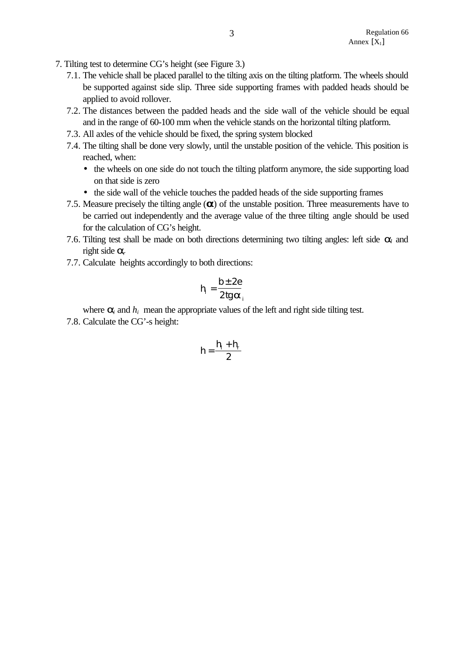- 7. Tilting test to determine CG's height (see Figure 3.)
	- 7.1. The vehicle shall be placed parallel to the tilting axis on the tilting platform. The wheels should be supported against side slip. Three side supporting frames with padded heads should be applied to avoid rollover.
	- 7.2. The distances between the padded heads and the side wall of the vehicle should be equal and in the range of 60-100 mm when the vehicle stands on the horizontal tilting platform.
	- 7.3. All axles of the vehicle should be fixed, the spring system blocked
	- 7.4. The tilting shall be done very slowly, until the unstable position of the vehicle. This position is reached, when:
		- the wheels on one side do not touch the tilting platform anymore, the side supporting load on that side is zero
		- the side wall of the vehicle touches the padded heads of the side supporting frames
	- 7.5. Measure precisely the tilting angle (*a*) of the unstable position. Three measurements have to be carried out independently and the average value of the three tilting angle should be used for the calculation of CG's height.
	- 7.6. Tilting test shall be made on both directions determining two tilting angles: left side *al* and right side *a<sup>r</sup>*
	- 7.7. Calculate heights accordingly to both directions:

$$
h_i = \frac{b \pm 2e}{2 \text{tg } a_i}
$$

where  $a_i$  and  $h_i$  mean the appropriate values of the left and right side tilting test.

7.8. Calculate the CG'-s height:

$$
h=\frac{h_{\scriptscriptstyle I}+h_{\scriptscriptstyle r}}{2}
$$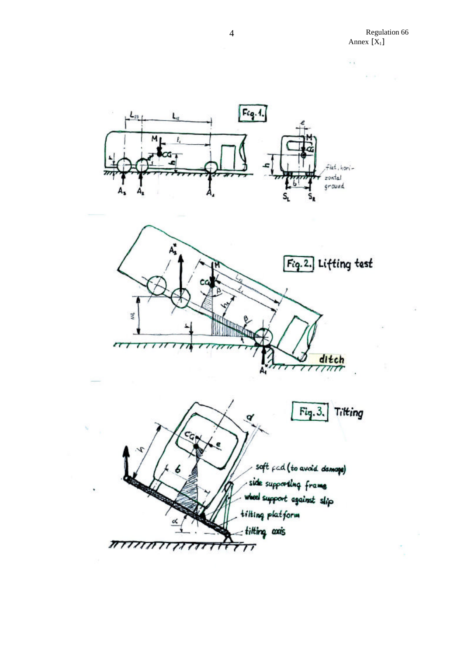Regulation 66 **Annex**  $[X_1]$ 



 $7\pi$ 







4